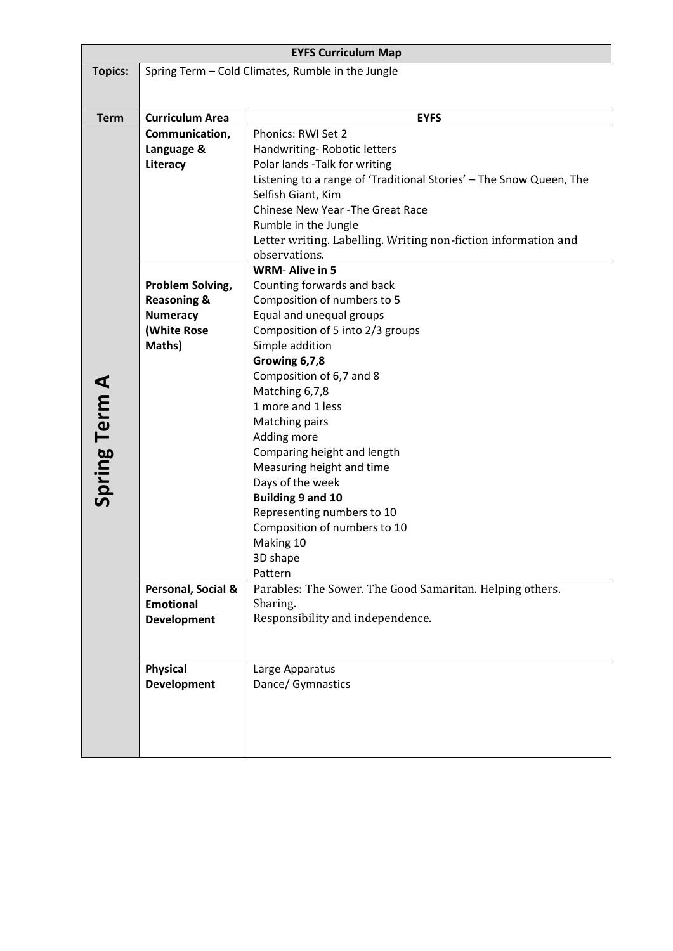| <b>EYFS Curriculum Map</b> |                                                   |                                                                                           |
|----------------------------|---------------------------------------------------|-------------------------------------------------------------------------------------------|
| <b>Topics:</b>             | Spring Term - Cold Climates, Rumble in the Jungle |                                                                                           |
|                            |                                                   |                                                                                           |
|                            |                                                   |                                                                                           |
| <b>Term</b>                | <b>Curriculum Area</b>                            | <b>EYFS</b>                                                                               |
|                            | Communication,                                    | Phonics: RWI Set 2                                                                        |
|                            | Language &                                        | Handwriting-Robotic letters<br>Polar lands -Talk for writing                              |
|                            | Literacy                                          |                                                                                           |
|                            |                                                   | Listening to a range of 'Traditional Stories' - The Snow Queen, The<br>Selfish Giant, Kim |
|                            |                                                   | Chinese New Year - The Great Race                                                         |
|                            |                                                   | Rumble in the Jungle                                                                      |
|                            |                                                   | Letter writing. Labelling. Writing non-fiction information and                            |
|                            |                                                   | observations.                                                                             |
|                            |                                                   | <b>WRM-Alive in 5</b>                                                                     |
|                            | Problem Solving,                                  | Counting forwards and back                                                                |
|                            | <b>Reasoning &amp;</b>                            | Composition of numbers to 5                                                               |
|                            | <b>Numeracy</b>                                   | Equal and unequal groups                                                                  |
|                            | (White Rose                                       | Composition of 5 into 2/3 groups                                                          |
|                            | Maths)                                            | Simple addition                                                                           |
|                            |                                                   | Growing 6,7,8                                                                             |
|                            |                                                   | Composition of 6,7 and 8                                                                  |
|                            |                                                   | Matching 6,7,8                                                                            |
|                            |                                                   | 1 more and 1 less                                                                         |
|                            |                                                   | <b>Matching pairs</b>                                                                     |
|                            |                                                   | Adding more                                                                               |
|                            |                                                   | Comparing height and length                                                               |
|                            |                                                   | Measuring height and time<br>Days of the week                                             |
| Spring Term A              |                                                   | <b>Building 9 and 10</b>                                                                  |
|                            |                                                   | Representing numbers to 10                                                                |
|                            |                                                   | Composition of numbers to 10                                                              |
|                            |                                                   | Making 10                                                                                 |
|                            |                                                   | 3D shape                                                                                  |
|                            |                                                   | Pattern                                                                                   |
|                            | Personal, Social &                                | Parables: The Sower. The Good Samaritan. Helping others.                                  |
|                            | <b>Emotional</b>                                  | Sharing.                                                                                  |
|                            | <b>Development</b>                                | Responsibility and independence.                                                          |
|                            |                                                   |                                                                                           |
|                            | <b>Physical</b>                                   | Large Apparatus                                                                           |
|                            | <b>Development</b>                                | Dance/ Gymnastics                                                                         |
|                            |                                                   |                                                                                           |
|                            |                                                   |                                                                                           |
|                            |                                                   |                                                                                           |
|                            |                                                   |                                                                                           |